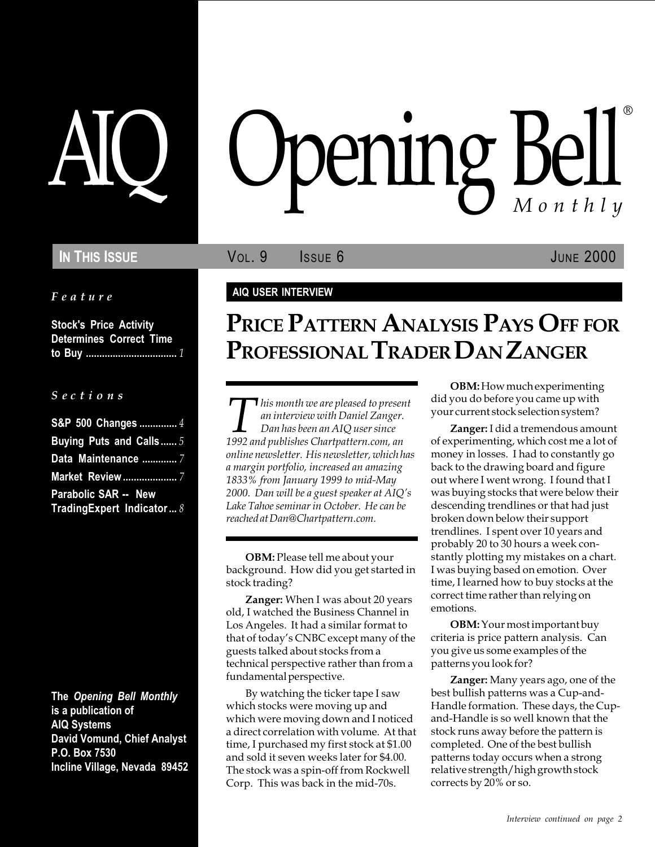Feature

Stock's Price Activity Determines Correct Time to Buy .................................. 1

#### S e c t i o n s

| S&P 500 Changes  4        |  |
|---------------------------|--|
| Buying Puts and Calls5    |  |
| Data Maintenance  7       |  |
| <b>Market Review </b> 7   |  |
| Parabolic SAR -- New      |  |
| TradingExpert Indicator 8 |  |

The Opening Bell Monthly is a publication of AIQ Systems David Vomund, Chief Analyst P.O. Box 7530 Incline Village, Nevada 89452

# pening Bell ®

**IN THIS ISSUE VOL. 9** ISSUE 6 JUNE 2000

#### AIQ USER INTERVIEW

# PRICE PATTERN ANALYSIS PAYS OFF FOR PROFESSIONAL TRADER DAN ZANGER

Inis month we are pleased to present<br>
an interview with Daniel Zanger.<br>
Dan has been an AIQ user since<br>
1992 and publishes Chartpattern.com, an an interview with Daniel Zanger. Dan has been an AIQ user since online newsletter. His newsletter, which has a margin portfolio, increased an amazing 1833% from January 1999 to mid-May 2000. Dan will be a guest speaker at  $AIQ's$ Lake Tahoe seminar in October. He can be reached at Dan@Chartpattern.com.

OBM: Please tell me about your background. How did you get started in stock trading?

Zanger: When I was about 20 years old, I watched the Business Channel in Los Angeles. It had a similar format to that of today's CNBC except many of the guests talked about stocks from a technical perspective rather than from a fundamental perspective.

By watching the ticker tape I saw which stocks were moving up and which were moving down and I noticed a direct correlation with volume. At that time, I purchased my first stock at \$1.00 and sold it seven weeks later for \$4.00. The stock was a spin-off from Rockwell Corp. This was back in the mid-70s.

OBM: How much experimenting did you do before you came up with your current stock selection system?

Zanger: I did a tremendous amount of experimenting, which cost me a lot of money in losses. I had to constantly go back to the drawing board and figure out where I went wrong. I found that I was buying stocks that were below their descending trendlines or that had just broken down below their support trendlines. I spent over 10 years and probably 20 to 30 hours a week constantly plotting my mistakes on a chart. I was buying based on emotion. Over time, I learned how to buy stocks at the correct time rather than relying on emotions.

OBM: Your most important buy criteria is price pattern analysis. Can you give us some examples of the patterns you look for?

Zanger: Many years ago, one of the best bullish patterns was a Cup-and-Handle formation. These days, the Cupand-Handle is so well known that the stock runs away before the pattern is completed. One of the best bullish patterns today occurs when a strong relative strength/high growth stock corrects by 20% or so.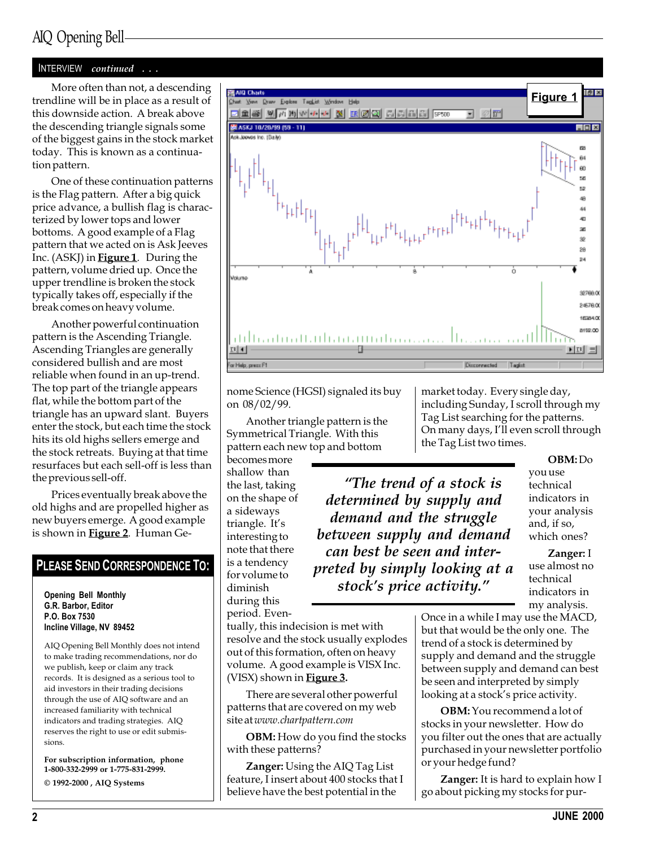## AIQ Opening Bell

#### INTERVIEW continued . . .

More often than not, a descending trendline will be in place as a result of this downside action. A break above the descending triangle signals some of the biggest gains in the stock market today. This is known as a continuation pattern.

One of these continuation patterns is the Flag pattern. After a big quick price advance, a bullish flag is characterized by lower tops and lower bottoms. A good example of a Flag pattern that we acted on is Ask Jeeves Inc. (ASKJ) in **Figure 1**. During the pattern, volume dried up. Once the upper trendline is broken the stock typically takes off, especially if the break comes on heavy volume.

Another powerful continuation pattern is the Ascending Triangle. Ascending Triangles are generally considered bullish and are most reliable when found in an up-trend. The top part of the triangle appears flat, while the bottom part of the triangle has an upward slant. Buyers enter the stock, but each time the stock hits its old highs sellers emerge and the stock retreats. Buying at that time resurfaces but each sell-off is less than the previous sell-off.

Prices eventually break above the old highs and are propelled higher as new buyers emerge. A good example is shown in **Figure 2**. Human Ge-

#### PLEASE SEND CORRESPONDENCE TO:

Opening Bell Monthly G.R. Barbor, Editor P.O. Box 7530 Incline Village, NV 89452

AIQ Opening Bell Monthly does not intend to make trading recommendations, nor do we publish, keep or claim any track records. It is designed as a serious tool to aid investors in their trading decisions through the use of AIQ software and an increased familiarity with technical indicators and trading strategies. AIQ reserves the right to use or edit submissions.

For subscription information, phone 1-800-332-2999 or 1-775-831-2999.  $\odot$  1992-2000 , AIQ Systems

Figure 1 Draw Explore TagList <u>ees wammaa waalaa sisinis ko</u> 日の面 图 ASKJ 10/20/99 (99 - 11)  $-1$ ni xi sk. lookes inc. (Baile) **BB** Ĥ4 60 56  $52$ 48 44 4D .<br>Ski 8 28 b. Volumo 32768.00 24578.00 1035400 8159.00 dilliaduall.Mlian.Mudnaa.a.  $E[|A|]$  $\mathbf{E}[\mathbf{E}]\equiv$ .<br>Gr Help, prezz F1 Disconnected Tagist

nome Science (HGSI) signaled its buy on 08/02/99.

Another triangle pattern is the Symmetrical Triangle. With this pattern each new top and bottom

becomes more shallow than the last, taking on the shape of a sideways triangle. It's interesting to note that there is a tendency for volume to diminish during this period. Even-

Tag List searching for the patterns. On many days, I'll even scroll through the Tag List two times. OBM: Do you use technical The trend of a stock is determined by supply and

market today. Every single day, including Sunday, I scroll through my

demand and the struggle between supply and demand can best be seen and interpreted by simply looking at a stock's price activity."

indicators in your analysis and, if so, which ones?

Zanger: I use almost no technical indicators in my analysis.

tually, this indecision is met with resolve and the stock usually explodes out of this formation, often on heavy volume. A good example is VISX Inc. (VISX) shown in Figure 3.

There are several other powerful patterns that are covered on my web site at www.chartpattern.com

OBM: How do you find the stocks with these patterns?

Zanger: Using the AIQ Tag List feature, I insert about 400 stocks that I believe have the best potential in the

Once in a while I may use the MACD, but that would be the only one. The trend of a stock is determined by supply and demand and the struggle between supply and demand can best be seen and interpreted by simply looking at a stock's price activity.

OBM: You recommend a lot of stocks in your newsletter. How do you filter out the ones that are actually purchased in your newsletter portfolio or your hedge fund?

Zanger: It is hard to explain how I go about picking my stocks for pur-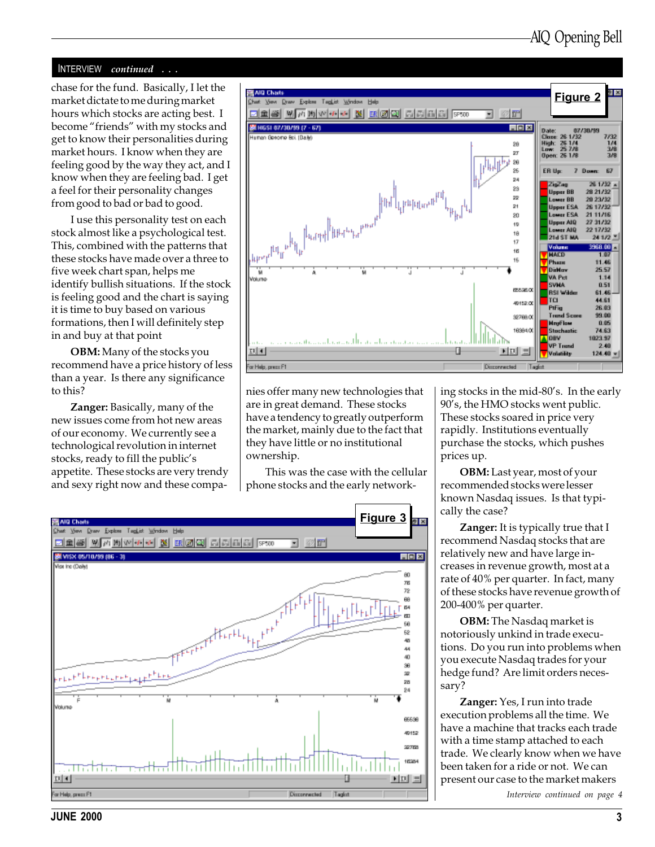#### INTERVIEW continued . . .

market dictate to me during market hours which stocks are acting best. I become "friends" with my stocks and get to know their personalities during market hours. I know when they are feeling good by the way they act, and I know when they are feeling bad. I get a feel for their personality changes from good to bad or bad to good.

I use this personality test on each stock almost like a psychological test. This, combined with the patterns that these stocks have made over a three to five week chart span, helps me identify bullish situations. If the stock is feeling good and the chart is saying it is time to buy based on various formations, then I will definitely step in and buy at that point

OBM: Many of the stocks you recommend have a price history of less than a year. Is there any significance to this?

Zanger: Basically, many of the new issues come from hot new areas of our economy. We currently see a technological revolution in internet stocks, ready to fill the public's appetite. These stocks are very trendy and sexy right now and these compa-



nies offer many new technologies that are in great demand. These stocks have a tendency to greatly outperform the market, mainly due to the fact that they have little or no institutional ownership.

This was the case with the cellular phone stocks and the early network-



ing stocks in the mid-80's. In the early 90's, the HMO stocks went public. These stocks soared in price very rapidly. Institutions eventually purchase the stocks, which pushes prices up.

OBM: Last year, most of your recommended stocks were lesser known Nasdaq issues. Is that typically the case?

Zanger: It is typically true that I recommend Nasdaq stocks that are relatively new and have large increases in revenue growth, most at a rate of 40% per quarter. In fact, many of these stocks have revenue growth of 200-400% per quarter.

OBM: The Nasdaq market is notoriously unkind in trade executions. Do you run into problems when you execute Nasdaq trades for your hedge fund? Are limit orders necessary?

Zanger: Yes, I run into trade execution problems all the time. We have a machine that tracks each trade with a time stamp attached to each trade. We clearly know when we have been taken for a ride or not. We can present our case to the market makers

Interview continued on page 4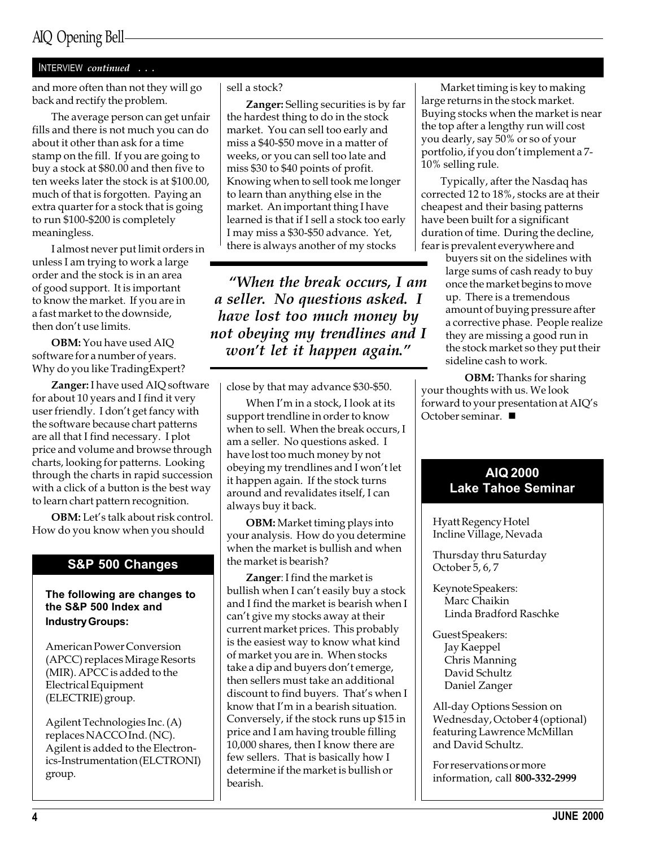## AIQ Opening Bell

#### INTERVIEW continued . . .

and more often than not they will go back and rectify the problem.

The average person can get unfair fills and there is not much you can do about it other than ask for a time stamp on the fill. If you are going to buy a stock at \$80.00 and then five to ten weeks later the stock is at \$100.00, much of that is forgotten. Paying an extra quarter for a stock that is going to run \$100-\$200 is completely meaningless.

I almost never put limit orders in unless I am trying to work a large order and the stock is in an area of good support. It is important to know the market. If you are in a fast market to the downside, then don't use limits

OBM: You have used AIQ software for a number of years. Why do you like TradingExpert?

Zanger: I have used AIQ software for about 10 years and I find it very user friendly. I don't get fancy with the software because chart patterns are all that I find necessary. I plot price and volume and browse through charts, looking for patterns. Looking through the charts in rapid succession with a click of a button is the best way to learn chart pattern recognition.

OBM: Let's talk about risk control. How do you know when you should

#### S&P 500 Changes

The following are changes to the S&P 500 Index and Industry Groups:

American Power Conversion (APCC) replaces Mirage Resorts (MIR). APCC is added to the Electrical Equipment (ELECTRIE) group.

Agilent Technologies Inc. (A) replaces NACCO Ind. (NC). Agilent is added to the Electronics-Instrumentation (ELCTRONI) group.

#### sell a stock?

Zanger: Selling securities is by far the hardest thing to do in the stock market. You can sell too early and miss a \$40-\$50 move in a matter of weeks, or you can sell too late and miss \$30 to \$40 points of profit. Knowing when to sell took me longer to learn than anything else in the market. An important thing I have learned is that if I sell a stock too early I may miss a \$30-\$50 advance. Yet, there is always another of my stocks

When the break occurs, I am a seller. No questions asked. I have lost too much money by not obeying my trendlines and I won't let it happen again."

close by that may advance \$30-\$50.

When  $I'm$  in a stock, I look at its support trendline in order to know when to sell. When the break occurs, I am a seller. No questions asked. I have lost too much money by not obeying my trendlines and I won't let it happen again. If the stock turns around and revalidates itself, I can always buy it back.

OBM: Market timing plays into your analysis. How do you determine when the market is bullish and when the market is bearish?

Zanger: I find the market is bullish when I can't easily buy a stock and I find the market is bearish when I can't give my stocks away at their current market prices. This probably is the easiest way to know what kind of market you are in. When stocks take a dip and buyers don't emerge, then sellers must take an additional discount to find buyers. That's when I know that I'm in a bearish situation. Conversely, if the stock runs up \$15 in price and I am having trouble filling 10,000 shares, then I know there are few sellers. That is basically how I determine if the market is bullish or bearish.

Market timing is key to making large returns in the stock market. Buying stocks when the market is near the top after a lengthy run will cost you dearly, say 50% or so of your portfolio, if you don't implement a 7-10% selling rule.

Typically, after the Nasdaq has corrected 12 to 18%, stocks are at their cheapest and their basing patterns have been built for a significant duration of time. During the decline, fear is prevalent everywhere and

> buyers sit on the sidelines with large sums of cash ready to buy once the market begins to move up. There is a tremendous amount of buying pressure after a corrective phase. People realize they are missing a good run in the stock market so they put their sideline cash to work.

OBM: Thanks for sharing your thoughts with us. We look forward to your presentation at  $AIQ's$ October seminar.  $\blacksquare$ 

#### AIQ 2000 Lake Tahoe Seminar

Hyatt Regency Hotel Incline Village, Nevada

Thursday thru Saturday October 5, 6, 7

- Keynote Speakers: Marc Chaikin Linda Bradford Raschke
- Guest Speakers: Jay Kaeppel Chris Manning David Schultz Daniel Zanger

All-day Options Session on Wednesday, October 4 (optional) featuring Lawrence McMillan and David Schultz.

For reservations or more information, call 800-332-2999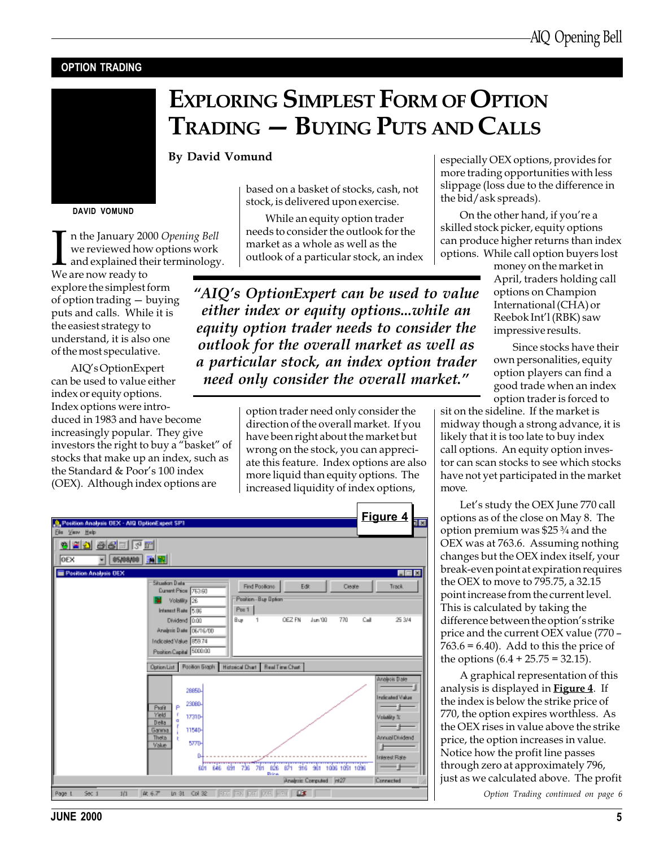#### OPTION TRADING



DAVID VOMUND

In the January 20<br>we reviewed how<br>and explained th<br>We are now ready to n the January 2000 Opening Bell we reviewed how options work  $\blacksquare$  and explained their terminology.

explore the simplest form of option trading  $-$  buying puts and calls. While it is the easiest strategy to understand, it is also one of the most speculative.

AIQ's OptionExpert can be used to value either index or equity options. Index options were introduced in 1983 and have become increasingly popular. They give investors the right to buy a "basket" of stocks that make up an index, such as the Standard & Poor's 100 index (OEX). Although index options are

## EXPLORING SIMPLEST FORM OF OPTION TRADING - BUYING PUTS AND CALLS

#### By David Vomund

based on a basket of stocks, cash, not stock, is delivered upon exercise.

While an equity option trader needs to consider the outlook for the market as a whole as well as the outlook of a particular stock, an index

"AIQ's OptionExpert can be used to value either index or equity options...while an equity option trader needs to consider the outlook for the overall market as well as a particular stock, an index option trader need only consider the overall market."

> option trader need only consider the direction of the overall market. If you have been right about the market but wrong on the stock, you can appreciate this feature. Index options are also more liquid than equity options. The increased liquidity of index options,

| <b>A.</b> Position Analysis DEX - ARI DationExpert SP1                                                                                                                                                            | Figure 4<br>1×                                                            |
|-------------------------------------------------------------------------------------------------------------------------------------------------------------------------------------------------------------------|---------------------------------------------------------------------------|
| Ele Vaw Help<br>6 2 2 3 3 5 5 6 6<br>OEX<br><b>DS/DR/DD   TAI BR</b>                                                                                                                                              |                                                                           |
| Pesition Analysis DEX<br><b>Situation Data</b><br>Find Positions<br>Edit<br>Cleate<br>Durant Price 763.60<br>Position - Buy Dpfon<br>Volality 26<br>Pos <sub>1</sub><br>Interest Rate 5.96                        | 同回区<br>Track.                                                             |
| OEZ FN<br>Jun '00<br>770<br>Dividend 0.00<br>B Lay<br>1<br>Analysis Date: 06/16/00<br>Indicated Value 859.74<br>Position Capital 5000.00<br>Option List Position Graph Historical Chart Real Time Chart           | 25.3/4<br>Call                                                            |
| 26650-<br>23080-<br>Profit<br>Yield<br>17310-<br>a<br>Della<br>11540-<br>Gannia<br>Theta<br>5770-                                                                                                                 | Analysis Date<br><b>Indicated Value</b><br>Volutiles &<br>Annual Dividend |
| Volue<br>646 691<br>761 B26<br>871 916 961 1006 1051 1096<br>736<br>BD1<br>Drival<br>Analysis Computed r#27<br>Ln 31 Coll Se   RFC   TRK   RKT   273   REFL   LDC<br>  体 6.7<br>101<br>Page 1<br>580 <sub>1</sub> | Interest Rate<br>Connected                                                |

especially OEX options, provides for more trading opportunities with less slippage (loss due to the difference in the bid/ask spreads).

On the other hand, if you're a skilled stock picker, equity options can produce higher returns than index options. While call option buyers lost

money on the market in April, traders holding call options on Champion International (CHA) or Reebok Int'l (RBK) saw impressive results.

Since stocks have their own personalities, equity option players can find a good trade when an index option trader is forced to

sit on the sideline. If the market is midway though a strong advance, it is likely that it is too late to buy index call options. An equity option investor can scan stocks to see which stocks have not yet participated in the market move.

Let's study the OEX June 770 call options as of the close on May 8. The option premium was \$25 ¾ and the OEX was at 763.6. Assuming nothing changes but the OEX index itself, your break-even point at expiration requires the OEX to move to 795.75, a 32.15 point increase from the current level. This is calculated by taking the difference between the option's strike price and the current OEX value (770  $763.6 = 6.40$ ). Add to this the price of the options  $(6.4 + 25.75 = 32.15)$ .

A graphical representation of this analysis is displayed in **Figure 4**. If the index is below the strike price of 770, the option expires worthless. As the OEX rises in value above the strike price, the option increases in value. Notice how the profit line passes through zero at approximately 796, just as we calculated above. The profit

Option Trading continued on page 6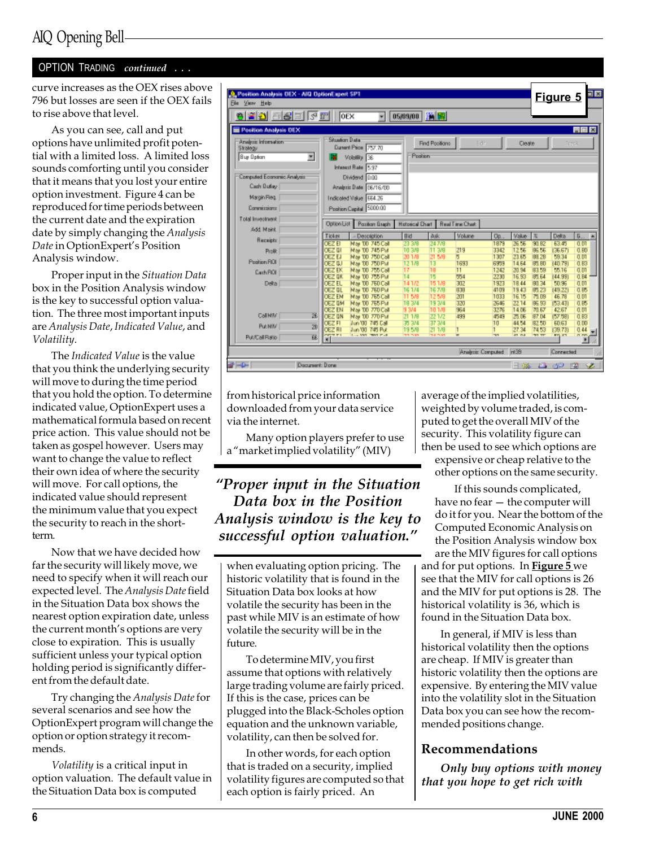#### OPTION TRADING continued . . .

curve increases as the OEX rises above 796 but losses are seen if the OEX fails to rise above that level.

As you can see, call and put options have unlimited profit potential with a limited loss. A limited loss sounds comforting until you consider that it means that you lost your entire option investment. Figure 4 can be reproduced for time periods between the current date and the expiration date by simply changing the Analysis Date in OptionExpert's Position Analysis window.

Proper input in the Situation Data box in the Position Analysis window is the key to successful option valuation. The three most important inputs are Analysis Date, Indicated Value, and Volatility.

The Indicated Value is the value that you think the underlying security will move to during the time period that you hold the option. To determine indicated value, OptionExpert uses a mathematical formula based on recent price action. This value should not be taken as gospel however. Users may want to change the value to reflect their own idea of where the security will move. For call options, the indicated value should represent the minimum value that you expect the security to reach in the shortterm.

Now that we have decided how far the security will likely move, we need to specify when it will reach our expected level. The Analysis Date field in the Situation Data box shows the nearest option expiration date, unless the current month's options are very close to expiration. This is usually sufficient unless your typical option holding period is significantly different from the default date.

Try changing the Analysis Date for several scenarios and see how the OptionExpert program will change the option or option strategy it recommends.

Volatility is a critical input in option valuation. The default value in the Situation Data box is computed

| <b>9. Position Analysis DEX - AID DationExpert SP1</b><br>Ele Vaw Help |                                 |                                                |                          |                           |                        |              |                       |                       | <b>Figure 5</b>          | oe                    |
|------------------------------------------------------------------------|---------------------------------|------------------------------------------------|--------------------------|---------------------------|------------------------|--------------|-----------------------|-----------------------|--------------------------|-----------------------|
| 8205556                                                                | lorx                            | ۰                                              | 05/09/00                 | 胸間                        |                        |              |                       |                       |                          |                       |
| Pesition Analysis DEX                                                  |                                 |                                                |                          |                           |                        |              |                       |                       |                          | <b>HEK</b>            |
| Analysis Information<br>Strategy                                       | <b>Situation Data</b>           | Dunmit Price 757.70                            |                          | Find Positions            | Edit.                  |              | Cleate                |                       |                          | <b>Inck</b>           |
| ×<br>Buy Option                                                        |                                 | Volatility 36<br>Interest Rate 5.97            | Postion                  |                           |                        |              |                       |                       |                          |                       |
| Computed Economic Analysis<br>Cash Bulley                              |                                 | Dividend 0.00<br>Analysis Date 06/16/00        |                          |                           |                        |              |                       |                       |                          |                       |
| Margin Reg.                                                            |                                 | Indicated Value 664.26                         |                          |                           |                        |              |                       |                       |                          |                       |
| Commissions                                                            |                                 | Position Capital 5000.00                       |                          |                           |                        |              |                       |                       |                          |                       |
| Total Investment<br>Add Maint                                          | Option List                     | Pazitian Essain                                | <b>Historical Chart</b>  |                           | <b>Real Time Chart</b> |              |                       |                       |                          |                       |
| <b>Receipts</b>                                                        | Ticker                          | - Description                                  | Bid                      | <b>Auk</b>                | Volume                 | Oo.          | Value                 | 国                     | Delta                    | 6.<br>×               |
| Profit:                                                                | OEZ EI<br>OEZ DI                | <b>Nav 10 745 Call</b><br><b>Nat TO 745 PM</b> | 23 3/8<br>10 3/9         | 247/8<br>11.3/9<br>21.5/9 | 219                    | 1979<br>3342 | 26.55<br>12.55        | 90.BZ<br>96.55        | 53.45<br>(36.67)         | 0.01<br>0.80          |
| Position ROI                                                           | <b>DEZ EJ</b><br><b>GEZ ILI</b> | Nai 10 750 Call<br>May 10 750 PM               | 2017/9<br>12.1/9         | 13                        | ы<br>1693              | 1307<br>6979 | 23.65<br>14.64        | 89.28<br>95.BD        | 59.34<br>(40.73)         | 0.01<br>0.83          |
| Cash ROI                                                               | <b>DEZ EK</b>                   | May 10, 755 Call                               | 17                       | 18                        | 11                     | 1242         | 20.94                 | 83.59                 | 55.16                    | 0.01                  |
| Delta                                                                  | <b>OEZ DK</b><br><b>DEZ EL</b>  | <b>Nai 10 755 PM</b><br><b>Nai TO 760 Call</b> | 14<br>141/2              | 15<br>151/9               | 754<br>302             | 2230<br>1923 | 16.93<br>19.44        | ST 54<br>91.34        | (44.99)<br>50.96         | 0.B4<br>0.01          |
|                                                                        | OEZ OL<br><b>DEZ EN</b>         | Nai 10 760 PM<br>Mar TO 765 Call               | 16.1/4<br>11.5/9         | 167/8<br>12.5/9           | 838<br>201             | 4109<br>1033 | 19.43<br>16.15        | 85.23<br>75.09        | (49, 22)<br>45.79        | 0.85<br>0.01          |
|                                                                        | <b>OEZ DM</b>                   | Nai 10 765 PM                                  | 18 3/4                   | 19,3/4                    | 320                    | 7646         | 22.14                 | 86.83                 | (53.43)                  | 0.85                  |
| CallMM<br>26                                                           | <b>DEZ EN</b><br><b>OEZ DN</b>  | Nai 10 770 Call<br>Nai 10 770 PM               | 9 3/4<br>21.1/9          | 101/9<br>22.172           | 354<br>433             | 3276<br>都府   | 14.06<br>25.06        | 70.67<br>87.D4        | 42.67<br>(57.59)         | 0.01<br>0.83          |
| <b>Put MIV</b>                                                         | OEZ FI                          | Jun '00 745 Eal                                | 35, 344                  | 37 3/4                    |                        | 10           | 44.54                 | 82.50                 | 60.63                    | 0.00                  |
| ZB                                                                     | <b>DEZ RI</b><br><b>STREET</b>  | Jun 00 745 Put<br>They want there is all       | 195/9<br><b>THE TERM</b> | 21.1/9<br><b>Hamed</b>    | ۰                      | т<br>w       | 27.24<br><b>81 PM</b> | 74.53<br><b>WI TT</b> | (29.73)<br><b>BYL AN</b> | 0.44<br><b>PL PWS</b> |
| 陇<br><b>Pub/Call Ratio</b>                                             | мI                              |                                                |                          |                           |                        |              |                       |                       |                          | ы                     |
|                                                                        |                                 |                                                |                          |                           | Analysis Computed 1959 |              |                       |                       | Connected                |                       |
| --<br>Document: Done                                                   |                                 |                                                |                          |                           |                        |              | 国城                    |                       | உ வு                     | ÷<br>12               |

from historical price information downloaded from your data service via the internet.

Many option players prefer to use a "market implied volatility" (MIV)

Proper input in the Situation Data box in the Position Analysis window is the key to successful option valuation."

when evaluating option pricing. The historic volatility that is found in the Situation Data box looks at how volatile the security has been in the past while MIV is an estimate of how volatile the security will be in the future.

To determine MIV, you first assume that options with relatively large trading volume are fairly priced. If this is the case, prices can be plugged into the Black-Scholes option equation and the unknown variable, volatility, can then be solved for.

In other words, for each option that is traded on a security, implied volatility figures are computed so that each option is fairly priced. An

average of the implied volatilities, weighted by volume traded, is computed to get the overall MIV of the security. This volatility figure can then be used to see which options are expensive or cheap relative to the other options on the same security.

If this sounds complicated, have no fear  $-$  the computer will do it for you. Near the bottom of the Computed Economic Analysis on the Position Analysis window box are the MIV figures for call options and for put options. In **Figure 5** we see that the MIV for call options is 26 and the MIV for put options is 28. The historical volatility is 36, which is found in the Situation Data box.

In general, if MIV is less than historical volatility then the options are cheap. If MIV is greater than historic volatility then the options are expensive. By entering the MIV value into the volatility slot in the Situation Data box you can see how the recommended positions change.

## Recommendations

Only buy options with money that you hope to get rich with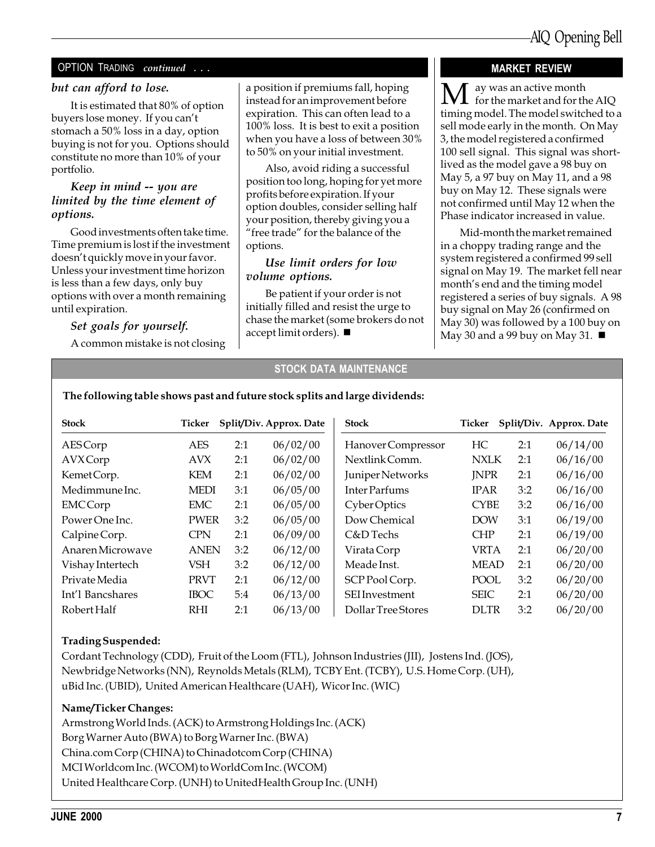#### OPTION TRADING continued ...

#### but can afford to lose.

It is estimated that 80% of option buyers lose money. If you can't stomach a 50% loss in a day, option buying is not for you. Options should constitute no more than 10% of your portfolio.

#### Keep in mind -- you are limited by the time element of options.

Good investments often take time. Time premium is lost if the investment doesn't quickly move in your favor. Unless your investment time horizon is less than a few days, only buy options with over a month remaining until expiration.

#### Set goals for yourself.

A common mistake is not closing

a position if premiums fall, hoping instead for an improvement before expiration. This can often lead to a 100% loss. It is best to exit a position when you have a loss of between 30% to 50% on your initial investment.

Also, avoid riding a successful position too long, hoping for yet more profits before expiration. If your option doubles, consider selling half your position, thereby giving you a "free trade" for the balance of the options.

#### Use limit orders for low volume options.

Be patient if your order is not initially filled and resist the urge to chase the market (some brokers do not accept limit orders).  $\blacksquare$ 

#### MARKET REVIEW

 $\bf{M}$  ay was an active month<br>for the market and for the AIQ timing model. The model switched to a sell mode early in the month. On May 3, the model registered a confirmed 100 sell signal. This signal was shortlived as the model gave a 98 buy on May 5, a 97 buy on May 11, and a 98 buy on May 12. These signals were not confirmed until May 12 when the Phase indicator increased in value.

Mid-month the market remained in a choppy trading range and the system registered a confirmed 99 sell signal on May 19. The market fell near month's end and the timing model registered a series of buy signals. A 98 buy signal on May 26 (confirmed on May 30) was followed by a 100 buy on May 30 and a 99 buy on May 31.  $\blacksquare$ 

#### STOCK DATA MAINTENANCE

| <b>Stock</b>     | Ticker      |     | Split/Div. Approx. Date | <b>Stock</b>          | Ticker      |     | Split/Div. Approx. Date |
|------------------|-------------|-----|-------------------------|-----------------------|-------------|-----|-------------------------|
| <b>AES</b> Corp  | AES         | 2:1 | 06/02/00                | Hanover Compressor    | HС          | 2:1 | 06/14/00                |
| <b>AVX</b> Corp  | AVX         | 2:1 | 06/02/00                | Nextlink Comm.        | <b>NXLK</b> | 2:1 | 06/16/00                |
| KemetCorp.       | KEM         | 2:1 | 06/02/00                | Juniper Networks      | <b>JNPR</b> | 2:1 | 06/16/00                |
| Medimmune Inc.   | <b>MEDI</b> | 3:1 | 06/05/00                | Inter Parfums         | <b>IPAR</b> | 3:2 | 06/16/00                |
| <b>EMCCorp</b>   | EMC         | 2:1 | 06/05/00                | Cyber Optics          | <b>CYBE</b> | 3:2 | 06/16/00                |
| Power One Inc.   | <b>PWER</b> | 3:2 | 06/05/00                | Dow Chemical          | <b>DOW</b>  | 3:1 | 06/19/00                |
| Calpine Corp.    | <b>CPN</b>  | 2:1 | 06/09/00                | C&D Techs             | <b>CHP</b>  | 2:1 | 06/19/00                |
| Anaren Microwaye | <b>ANEN</b> | 3:2 | 06/12/00                | Virata Corp           | <b>VRTA</b> | 2:1 | 06/20/00                |
| Vishay Intertech | VSH         | 3:2 | 06/12/00                | Meade Inst.           | <b>MEAD</b> | 2:1 | 06/20/00                |
| Private Media    | <b>PRVT</b> | 2:1 | 06/12/00                | SCP Pool Corp.        | <b>POOL</b> | 3:2 | 06/20/00                |
| Int'l Bancshares | <b>IBOC</b> | 5:4 | 06/13/00                | <b>SEI</b> Investment | <b>SEIC</b> | 2:1 | 06/20/00                |
| Robert Half      | <b>RHI</b>  | 2:1 | 06/13/00                | Dollar Tree Stores    | <b>DLTR</b> | 3:2 | 06/20/00                |

#### The following table shows past and future stock splits and large dividends:

#### Trading Suspended:

Cordant Technology (CDD), Fruit of the Loom (FTL), Johnson Industries (JII), Jostens Ind. (JOS), Newbridge Networks (NN), Reynolds Metals (RLM), TCBY Ent. (TCBY), U.S. Home Corp. (UH), uBid Inc. (UBID), United American Healthcare (UAH), Wicor Inc. (WIC)

#### Name/Ticker Changes:

Armstrong World Inds. (ACK) to Armstrong Holdings Inc. (ACK) Borg Warner Auto (BWA) to Borg Warner Inc. (BWA) China.com Corp (CHINA) to Chinadotcom Corp (CHINA) MCI Worldcom Inc. (WCOM) to WorldCom Inc. (WCOM) United Healthcare Corp. (UNH) to UnitedHealth Group Inc. (UNH)